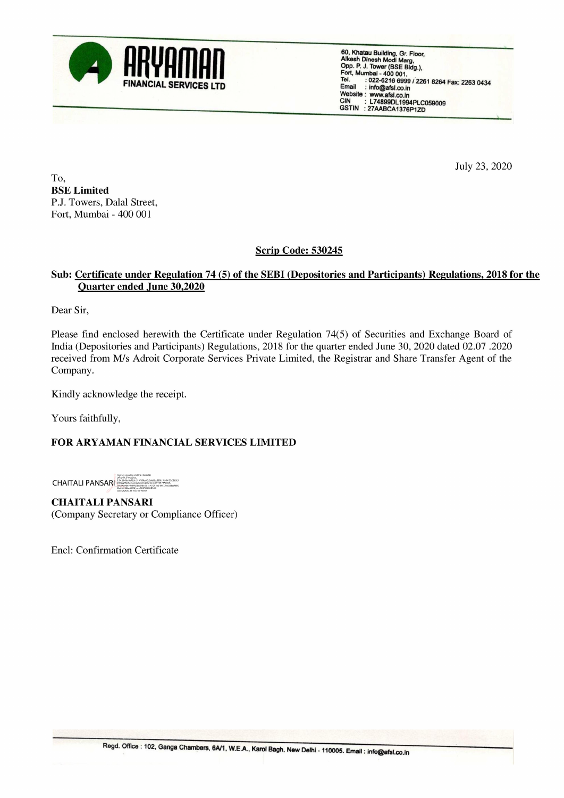

: 0224-6216 mail : info@afsl.co.in<br>
Website : www.afsl.co.in<br>
CIN: L74899DL1994PLC059009<br>
GSTIN: 27AABCA1376P1ZD

July 23, 2020

To, BSE Limited P.J. Towers, Dalal Street, Fort, Mumbai - 400 001

Scrip Code: 530245

## Sub: Certificate under Regulation 74 (5) of the SEBI (Depositories and Participants) Regulations, 2018 for the Quarter ended June 30.2020

Dear Sir,

Please find enclosed herewith the Certificate under Regulation 74(5) of Securities and Exchange Board of India (Depositories and Participants) Regulations, 2018 for the quarter ended June 30, 2020 dated 02.07 .2020 received from M/s Adroit Corporate Services Private Limited, the Registrar and Share Transfer Agent of the Company. SCORE SITE<br>
Dense find enclosed herewith the Certificate under Regulation 74(5) of Securities<br>
Dense find enclosed from M/s Adroit Corporate Services Private Limited, the Registrar and Sha<br>
Company.<br>
Kindly acknowledge the

Kindly acknowledge the receipt.

Yours faithfully,

## FOR ARYAMAN FINANCIAL SERVICES LIMITED

CHAITALI PANSARI

CHAITALI PANSARI (Company Secretary or Compliance Officer)

Encl: Confirmation Certificate